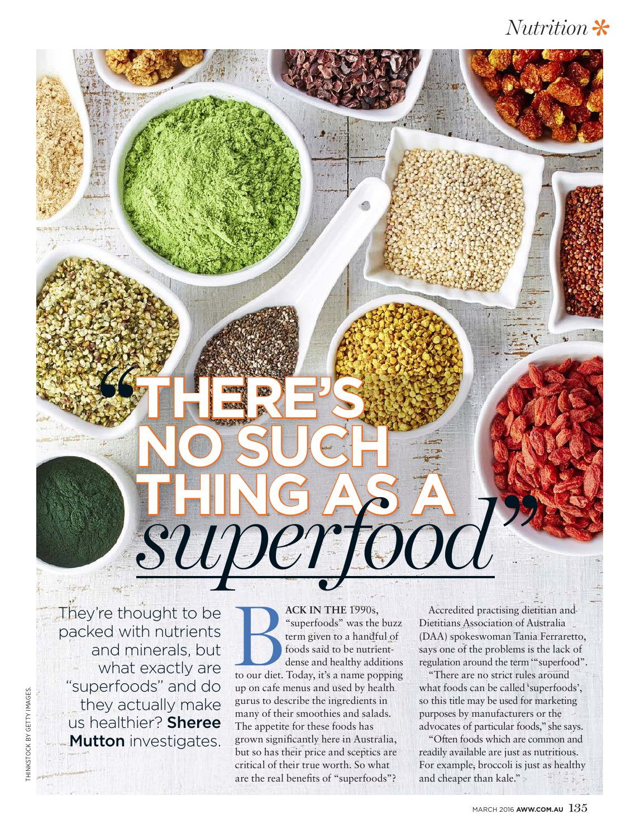## *Nutrition*



They're thought to be packed with nutrients and minerals, but what exactly are "superfoods" and do they actually make us healthier? Sheree **Mutton** investigates.

**ACK IN THE 1990s,**<br>
"superfoods" was the buzz<br>
term given to a handful of<br>
foods said to be nutrient-<br>
dense and healthy additions<br>
to our diet. Today, it's a name popping "superfoods" was the buzz term given to a handful of foods said to be nutrientdense and healthy additions up on cafe menus and used by health gurus to describe the ingredients in many of their smoothies and salads. The appetite for these foods has grown significantly here in Australia, but so has their price and sceptics are critical of their true worth. So what are the real benefits of "superfoods"?

Accredited practising dietitian and Dietitians Association of Australia (DAA) spokeswoman Tania Ferraretto, says one of the problems is the lack of regulation around the term '"superfood".

"There are no strict rules around what foods can be called 'superfoods', so this title may be used for marketing purposes by manufacturers or the advocates of particular foods," she says.

"Often foods which are common and readily available are just as nutritious. For example, broccoli is just as healthy and cheaper than kale." >